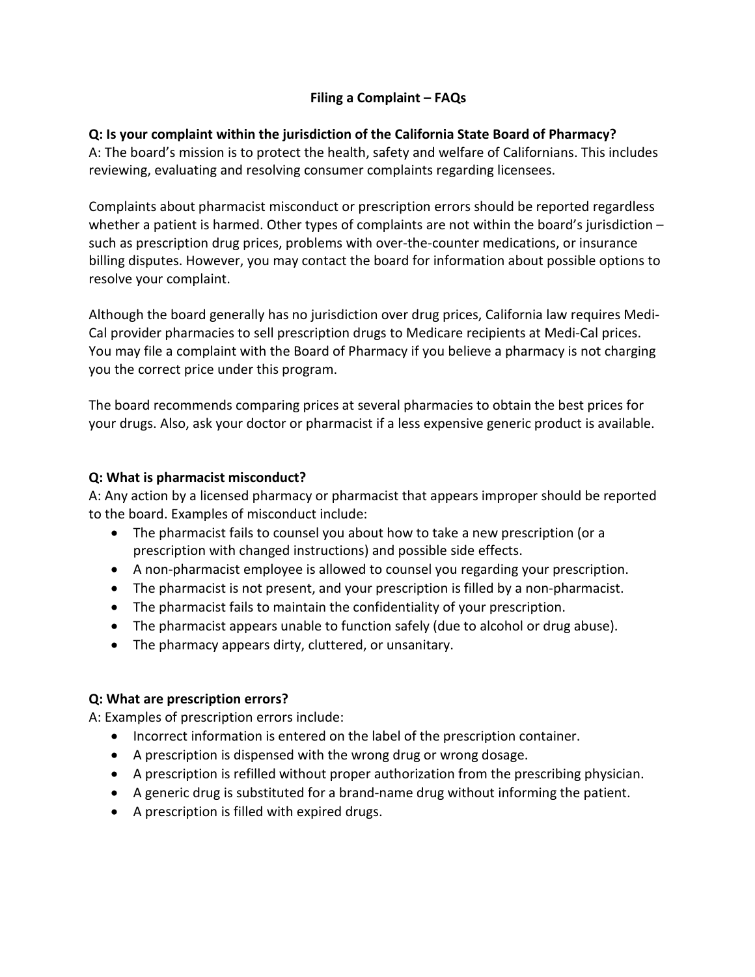# **Filing a Complaint – FAQs**

# **Q: Is your complaint within the jurisdiction of the California State Board of Pharmacy?**

 reviewing, evaluating and resolving consumer complaints regarding licensees. A: The board's mission is to protect the health, safety and welfare of Californians. This includes

 Complaints about pharmacist misconduct or prescription errors should be reported regardless whether a patient is harmed. Other types of complaints are not within the board's jurisdiction - billing disputes. However, you may contact the board for information about possible options to such as prescription drug prices, problems with over-the-counter medications, or insurance resolve your complaint.

you the correct price under this program. Although the board generally has no jurisdiction over drug prices, California law requires Medi-Cal provider pharmacies to sell prescription drugs to Medicare recipients at Medi-Cal prices. You may file a complaint with the Board of Pharmacy if you believe a pharmacy is not charging

you the correct price under this program.<br>The board recommends comparing prices at several pharmacies to obtain the best prices for your drugs. Also, ask your doctor or pharmacist if a less expensive generic product is available.

# **Q: What is pharmacist misconduct?**

 to the board. Examples of misconduct include: A: Any action by a licensed pharmacy or pharmacist that appears improper should be reported

- The pharmacist fails to counsel you about how to take a new prescription (or a prescription with changed instructions) and possible side effects.
- A non-pharmacist employee is allowed to counsel you regarding your prescription.
- The pharmacist is not present, and your prescription is filled by a non-pharmacist.
- The pharmacist fails to maintain the confidentiality of your prescription.
- The pharmacist appears unable to function safely (due to alcohol or drug abuse).
- The pharmacy appears dirty, cluttered, or unsanitary.

# **Q: What are prescription errors?**

A: Examples of prescription errors include:

- Incorrect information is entered on the label of the prescription container.
- A prescription is dispensed with the wrong drug or wrong dosage.
- A prescription is refilled without proper authorization from the prescribing physician.
- A generic drug is substituted for a brand-name drug without informing the patient.
- A prescription is filled with expired drugs.